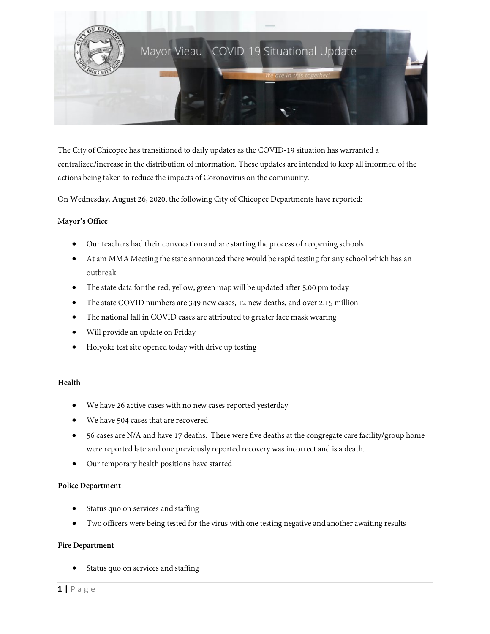

The City of Chicopee has transitioned to daily updates as the COVID-19 situation has warranted a centralized/increase in the distribution of information. These updates are intended to keep all informed of the actions being taken to reduce the impacts of Coronavirus on the community.

On Wednesday, August 26, 2020, the following City of Chicopee Departments havereported:

# M**ayor's Office**

- Our teachers had their convocation and are starting the process of reopening schools
- At am MMA Meeting the state announced there would be rapid testing for any school which has an outbreak
- The state data for the red, yellow, green map will be updated after 5:00 pm today
- The state COVID numbers are 349 new cases, 12 new deaths, and over 2.15 million
- The national fall in COVID cases are attributed to greater face mask wearing
- Will provide an update on Friday
- Holyoke test site opened today with drive up testing

### **Health**

- We have 26 active cases with no new cases reported yesterday
- We have 504 cases that are recovered
- 56 cases are N/A and have 17 deaths. There were five deaths at the congregate care facility/group home were reported late and one previously reported recovery was incorrect and is a death.
- Our temporary health positions have started

### **Police Department**

- Status quo on services and staffing
- Two officers were being tested for the virus with one testing negative and another awaiting results

#### **Fire Department**

Status quo on services and staffing